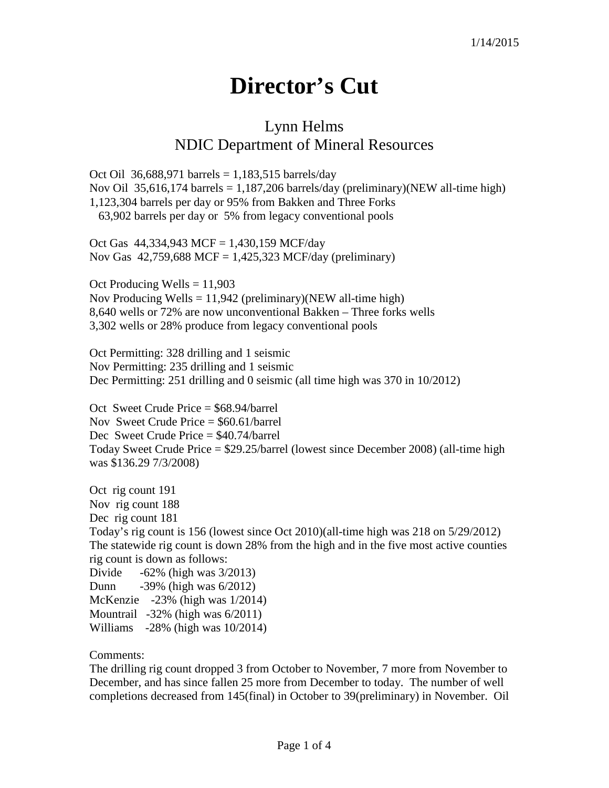## **Director's Cut**

## Lynn Helms NDIC Department of Mineral Resources

Oct Oil 36,688,971 barrels =  $1,183,515$  barrels/day Nov Oil 35,616,174 barrels = 1,187,206 barrels/day (preliminary)(NEW all-time high) 1,123,304 barrels per day or 95% from Bakken and Three Forks 63,902 barrels per day or 5% from legacy conventional pools

Oct Gas  $44,334,943$  MCF = 1,430,159 MCF/day Nov Gas 42,759,688 MCF = 1,425,323 MCF/day (preliminary)

Oct Producing Wells = 11,903 Nov Producing Wells  $= 11,942$  (preliminary)(NEW all-time high) 8,640 wells or 72% are now unconventional Bakken – Three forks wells 3,302 wells or 28% produce from legacy conventional pools

Oct Permitting: 328 drilling and 1 seismic Nov Permitting: 235 drilling and 1 seismic Dec Permitting: 251 drilling and 0 seismic (all time high was 370 in 10/2012)

Oct Sweet Crude Price = \$68.94/barrel Nov Sweet Crude Price = \$60.61/barrel Dec Sweet Crude Price = \$40.74/barrel Today Sweet Crude Price = \$29.25/barrel (lowest since December 2008) (all-time high was \$136.29 7/3/2008)

Oct rig count 191 Nov rig count 188 Dec rig count 181 Today's rig count is 156 (lowest since Oct 2010)(all-time high was 218 on 5/29/2012) The statewide rig count is down 28% from the high and in the five most active counties rig count is down as follows: Divide  $-62\%$  (high was  $3/2013$ )

Dunn -39% (high was 6/2012) McKenzie -23% (high was 1/2014) Mountrail -32% (high was 6/2011) Williams -28% (high was 10/2014)

Comments:

The drilling rig count dropped 3 from October to November, 7 more from November to December, and has since fallen 25 more from December to today. The number of well completions decreased from 145(final) in October to 39(preliminary) in November. Oil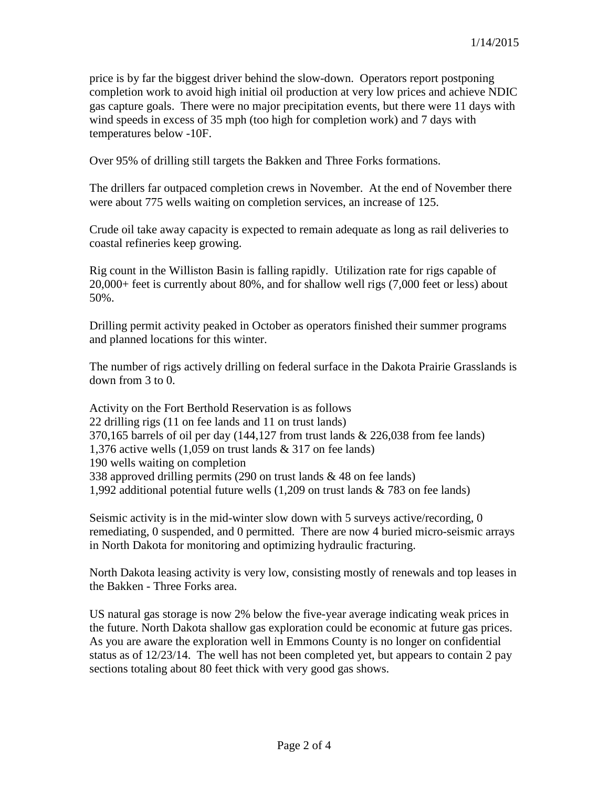price is by far the biggest driver behind the slow-down. Operators report postponing completion work to avoid high initial oil production at very low prices and achieve NDIC gas capture goals. There were no major precipitation events, but there were 11 days with wind speeds in excess of 35 mph (too high for completion work) and 7 days with temperatures below -10F.

Over 95% of drilling still targets the Bakken and Three Forks formations.

The drillers far outpaced completion crews in November. At the end of November there were about 775 wells waiting on completion services, an increase of 125.

Crude oil take away capacity is expected to remain adequate as long as rail deliveries to coastal refineries keep growing.

Rig count in the Williston Basin is falling rapidly. Utilization rate for rigs capable of 20,000+ feet is currently about 80%, and for shallow well rigs (7,000 feet or less) about 50%.

Drilling permit activity peaked in October as operators finished their summer programs and planned locations for this winter.

The number of rigs actively drilling on federal surface in the Dakota Prairie Grasslands is down from 3 to 0.

Activity on the Fort Berthold Reservation is as follows 22 drilling rigs (11 on fee lands and 11 on trust lands) 370,165 barrels of oil per day  $(144,127$  from trust lands  $\&$  226,038 from fee lands) 1,376 active wells (1,059 on trust lands & 317 on fee lands) 190 wells waiting on completion 338 approved drilling permits (290 on trust lands & 48 on fee lands) 1,992 additional potential future wells (1,209 on trust lands & 783 on fee lands)

Seismic activity is in the mid-winter slow down with 5 surveys active/recording, 0 remediating, 0 suspended, and 0 permitted. There are now 4 buried micro-seismic arrays in North Dakota for monitoring and optimizing hydraulic fracturing.

North Dakota leasing activity is very low, consisting mostly of renewals and top leases in the Bakken - Three Forks area.

US natural gas storage is now 2% below the five-year average indicating weak prices in the future. North Dakota shallow gas exploration could be economic at future gas prices. As you are aware the exploration well in Emmons County is no longer on confidential status as of 12/23/14. The well has not been completed yet, but appears to contain 2 pay sections totaling about 80 feet thick with very good gas shows.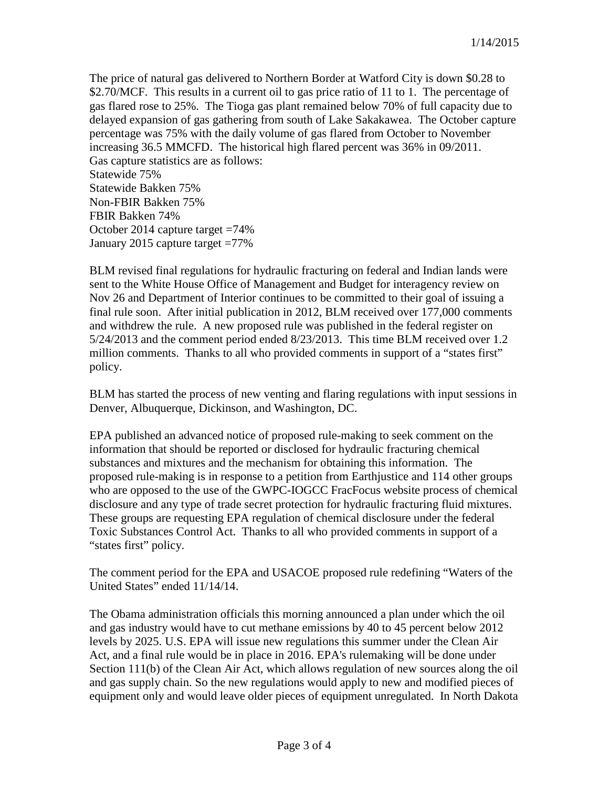The price of natural gas delivered to Northern Border at Watford City is down \$0.28 to \$2.70/MCF. This results in a current oil to gas price ratio of 11 to 1. The percentage of gas flared rose to 25%. The Tioga gas plant remained below 70% of full capacity due to delayed expansion of gas gathering from south of Lake Sakakawea. The October capture percentage was 75% with the daily volume of gas flared from October to November increasing 36.5 MMCFD. The historical high flared percent was 36% in 09/2011. Gas capture statistics are as follows: Statewide 75% Statewide Bakken 75% Non-FBIR Bakken 75% FBIR Bakken 74% October 2014 capture target =74% January 2015 capture target =77%

BLM revised final regulations for hydraulic fracturing on federal and Indian lands were sent to the White House Office of Management and Budget for interagency review on Nov 26 and Department of Interior continues to be committed to their goal of issuing a final rule soon. After initial publication in 2012, BLM received over 177,000 comments and withdrew the rule. A new proposed rule was published in the federal register on 5/24/2013 and the comment period ended 8/23/2013. This time BLM received over 1.2 million comments. Thanks to all who provided comments in support of a "states first" policy.

BLM has started the process of new venting and flaring regulations with input sessions in Denver, Albuquerque, Dickinson, and Washington, DC.

EPA published an advanced notice of proposed rule-making to seek comment on the information that should be reported or disclosed for hydraulic fracturing chemical substances and mixtures and the mechanism for obtaining this information. The proposed rule-making is in response to a petition from Earthjustice and 114 other groups who are opposed to the use of the GWPC-IOGCC FracFocus website process of chemical disclosure and any type of trade secret protection for hydraulic fracturing fluid mixtures. These groups are requesting EPA regulation of chemical disclosure under the federal Toxic Substances Control Act. Thanks to all who provided comments in support of a "states first" policy.

The comment period for the EPA and USACOE proposed rule redefining "Waters of the United States" ended 11/14/14.

The Obama administration officials this morning announced a plan under which the oil and gas industry would have to cut methane emissions by 40 to 45 percent below 2012 levels by 2025. U.S. EPA will issue new regulations this summer under the Clean Air Act, and a final rule would be in place in 2016. EPA's rulemaking will be done under Section 111(b) of the Clean Air Act, which allows regulation of new sources along the oil and gas supply chain. So the new regulations would apply to new and modified pieces of equipment only and would leave older pieces of equipment unregulated. In North Dakota